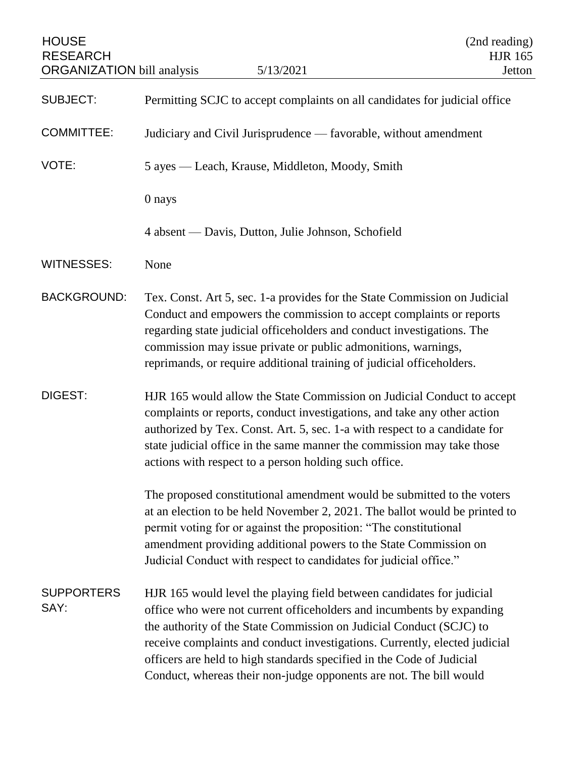| <b>HOUSE</b><br><b>RESEARCH</b><br><b>ORGANIZATION</b> bill analysis | 5/13/2021                                                                                                                                                                                                                                                                                                                                                                                                                                          | (2nd reading)<br><b>HJR 165</b><br>Jetton |
|----------------------------------------------------------------------|----------------------------------------------------------------------------------------------------------------------------------------------------------------------------------------------------------------------------------------------------------------------------------------------------------------------------------------------------------------------------------------------------------------------------------------------------|-------------------------------------------|
| <b>SUBJECT:</b>                                                      | Permitting SCJC to accept complaints on all candidates for judicial office                                                                                                                                                                                                                                                                                                                                                                         |                                           |
| <b>COMMITTEE:</b>                                                    | Judiciary and Civil Jurisprudence — favorable, without amendment                                                                                                                                                                                                                                                                                                                                                                                   |                                           |
| VOTE:                                                                | 5 ayes — Leach, Krause, Middleton, Moody, Smith                                                                                                                                                                                                                                                                                                                                                                                                    |                                           |
|                                                                      | 0 nays                                                                                                                                                                                                                                                                                                                                                                                                                                             |                                           |
|                                                                      | 4 absent — Davis, Dutton, Julie Johnson, Schofield                                                                                                                                                                                                                                                                                                                                                                                                 |                                           |
| <b>WITNESSES:</b>                                                    | None                                                                                                                                                                                                                                                                                                                                                                                                                                               |                                           |
| <b>BACKGROUND:</b>                                                   | Tex. Const. Art 5, sec. 1-a provides for the State Commission on Judicial<br>Conduct and empowers the commission to accept complaints or reports<br>regarding state judicial officeholders and conduct investigations. The<br>commission may issue private or public admonitions, warnings,<br>reprimands, or require additional training of judicial officeholders.                                                                               |                                           |
| DIGEST:                                                              | HJR 165 would allow the State Commission on Judicial Conduct to accept<br>complaints or reports, conduct investigations, and take any other action<br>authorized by Tex. Const. Art. 5, sec. 1-a with respect to a candidate for<br>state judicial office in the same manner the commission may take those<br>actions with respect to a person holding such office.                                                                                |                                           |
|                                                                      | The proposed constitutional amendment would be submitted to the voters<br>at an election to be held November 2, 2021. The ballot would be printed to<br>permit voting for or against the proposition: "The constitutional<br>amendment providing additional powers to the State Commission on<br>Judicial Conduct with respect to candidates for judicial office."                                                                                 |                                           |
| <b>SUPPORTERS</b><br>SAY:                                            | HJR 165 would level the playing field between candidates for judicial<br>office who were not current officeholders and incumbents by expanding<br>the authority of the State Commission on Judicial Conduct (SCJC) to<br>receive complaints and conduct investigations. Currently, elected judicial<br>officers are held to high standards specified in the Code of Judicial<br>Conduct, whereas their non-judge opponents are not. The bill would |                                           |